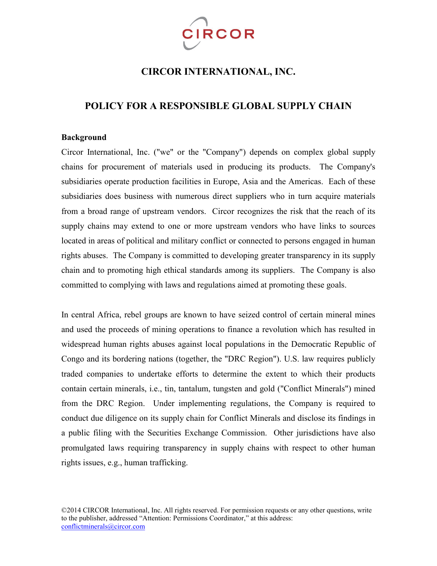

# **CIRCOR INTERNATIONAL, INC.**

## **POLICY FOR A RESPONSIBLE GLOBAL SUPPLY CHAIN**

#### **Background**

Circor International, Inc. ("we" or the "Company") depends on complex global supply chains for procurement of materials used in producing its products. The Company's subsidiaries operate production facilities in Europe, Asia and the Americas. Each of these subsidiaries does business with numerous direct suppliers who in turn acquire materials from a broad range of upstream vendors. Circor recognizes the risk that the reach of its supply chains may extend to one or more upstream vendors who have links to sources located in areas of political and military conflict or connected to persons engaged in human rights abuses. The Company is committed to developing greater transparency in its supply chain and to promoting high ethical standards among its suppliers. The Company is also committed to complying with laws and regulations aimed at promoting these goals.

In central Africa, rebel groups are known to have seized control of certain mineral mines and used the proceeds of mining operations to finance a revolution which has resulted in widespread human rights abuses against local populations in the Democratic Republic of Congo and its bordering nations (together, the "DRC Region"). U.S. law requires publicly traded companies to undertake efforts to determine the extent to which their products contain certain minerals, i.e., tin, tantalum, tungsten and gold ("Conflict Minerals") mined from the DRC Region. Under implementing regulations, the Company is required to conduct due diligence on its supply chain for Conflict Minerals and disclose its findings in a public filing with the Securities Exchange Commission. Other jurisdictions have also promulgated laws requiring transparency in supply chains with respect to other human rights issues, e.g., human trafficking.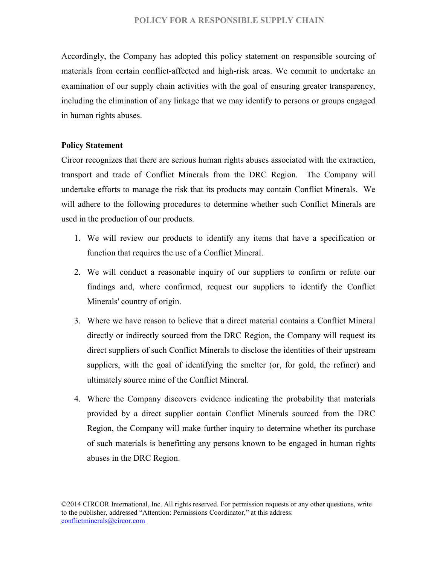### **POLICY FOR A RESPONSIBLE SUPPLY CHAIN**

Accordingly, the Company has adopted this policy statement on responsible sourcing of materials from certain conflict-affected and high-risk areas. We commit to undertake an examination of our supply chain activities with the goal of ensuring greater transparency, including the elimination of any linkage that we may identify to persons or groups engaged in human rights abuses.

### **Policy Statement**

Circor recognizes that there are serious human rights abuses associated with the extraction, transport and trade of Conflict Minerals from the DRC Region. The Company will undertake efforts to manage the risk that its products may contain Conflict Minerals. We will adhere to the following procedures to determine whether such Conflict Minerals are used in the production of our products.

- 1. We will review our products to identify any items that have a specification or function that requires the use of a Conflict Mineral.
- 2. We will conduct a reasonable inquiry of our suppliers to confirm or refute our findings and, where confirmed, request our suppliers to identify the Conflict Minerals' country of origin.
- 3. Where we have reason to believe that a direct material contains a Conflict Mineral directly or indirectly sourced from the DRC Region, the Company will request its direct suppliers of such Conflict Minerals to disclose the identities of their upstream suppliers, with the goal of identifying the smelter (or, for gold, the refiner) and ultimately source mine of the Conflict Mineral.
- 4. Where the Company discovers evidence indicating the probability that materials provided by a direct supplier contain Conflict Minerals sourced from the DRC Region, the Company will make further inquiry to determine whether its purchase of such materials is benefitting any persons known to be engaged in human rights abuses in the DRC Region.